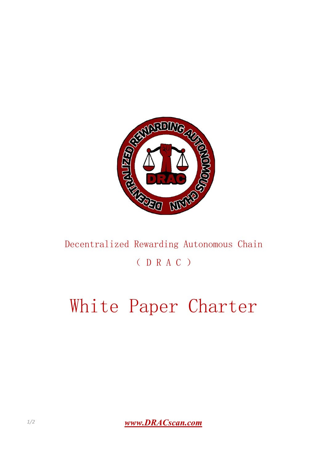

## Decentralized Rewarding Autonomous Chain ( D R A C )

## White Paper Charter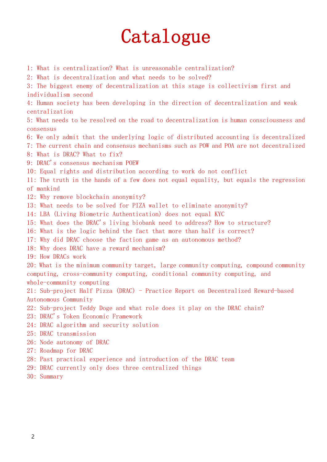## Catalogue

- 1: What is centralization? What is unreasonable centralization?
- 2: What is decentralization and what needs to be solved?

3: The biggest enemy of decentralization at this stage is collectivism first and individualism second

4: Human society has been developing in the direction of decentralization and weak centralization

5: What needs to be resolved on the road to decentralization is human consciousness and consensus

- 6: We only admit that the underlying logic of distributed accounting is decentralized
- 7: The current chain and consensus mechanisms such as POW and POA are not decentralized
- 8: What is DRAC? What to fix?
- 9: DRAC's consensus mechanism POEW
- 10: Equal rights and distribution according to work do not conflict
- 11: The truth in the hands of a few does not equal equality, but equals the regression of mankind
- 12: Why remove blockchain anonymity?
- 13: What needs to be solved for PIZA wallet to eliminate anonymity?
- 14: LBA (Living Biometric Authentication) does not equal KYC
- 15: What does the DRAC's living biobank need to address? How to structure?
- 16: What is the logic behind the fact that more than half is correct?
- 17: Why did DRAC choose the faction game as an autonomous method?
- 18: Why does DRAC have a reward mechanism?
- 19: How DRACs work

20: What is the minimum community target, large community computing, compound community computing, cross-community computing, conditional community computing, and whole-community computing

21: Sub-project Half Pizza (DRAC) - Practice Report on Decentralized Reward-based Autonomous Community

- 22: Sub-project Teddy Doge and what role does it play on the DRAC chain?
- 23: DRAC's Token Economic Framework
- 24: DRAC algorithm and security solution
- 25: DRAC transmission
- 26: Node autonomy of DRAC
- 27: Roadmap for DRAC
- 28: Past practical experience and introduction of the DRAC team
- 29: DRAC currently only does three centralized things
- 30: Summary